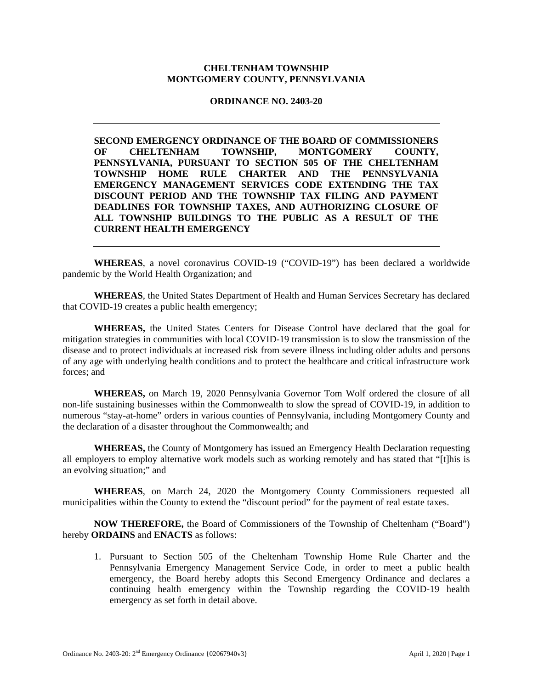## **CHELTENHAM TOWNSHIP MONTGOMERY COUNTY, PENNSYLVANIA**

## **ORDINANCE NO. 2403-20**

**SECOND EMERGENCY ORDINANCE OF THE BOARD OF COMMISSIONERS OF CHELTENHAM TOWNSHIP, MONTGOMERY COUNTY, PENNSYLVANIA, PURSUANT TO SECTION 505 OF THE CHELTENHAM TOWNSHIP HOME RULE CHARTER AND THE PENNSYLVANIA EMERGENCY MANAGEMENT SERVICES CODE EXTENDING THE TAX DISCOUNT PERIOD AND THE TOWNSHIP TAX FILING AND PAYMENT DEADLINES FOR TOWNSHIP TAXES, AND AUTHORIZING CLOSURE OF ALL TOWNSHIP BUILDINGS TO THE PUBLIC AS A RESULT OF THE CURRENT HEALTH EMERGENCY** 

**WHEREAS**, a novel coronavirus COVID-19 ("COVID-19") has been declared a worldwide pandemic by the World Health Organization; and

**WHEREAS**, the United States Department of Health and Human Services Secretary has declared that COVID-19 creates a public health emergency;

**WHEREAS,** the United States Centers for Disease Control have declared that the goal for mitigation strategies in communities with local COVID-19 transmission is to slow the transmission of the disease and to protect individuals at increased risk from severe illness including older adults and persons of any age with underlying health conditions and to protect the healthcare and critical infrastructure work forces; and

**WHEREAS,** on March 19, 2020 Pennsylvania Governor Tom Wolf ordered the closure of all non-life sustaining businesses within the Commonwealth to slow the spread of COVID-19, in addition to numerous "stay-at-home" orders in various counties of Pennsylvania, including Montgomery County and the declaration of a disaster throughout the Commonwealth; and

**WHEREAS,** the County of Montgomery has issued an Emergency Health Declaration requesting all employers to employ alternative work models such as working remotely and has stated that "[t]his is an evolving situation;" and

**WHEREAS**, on March 24, 2020 the Montgomery County Commissioners requested all municipalities within the County to extend the "discount period" for the payment of real estate taxes.

**NOW THEREFORE,** the Board of Commissioners of the Township of Cheltenham ("Board") hereby **ORDAINS** and **ENACTS** as follows:

1. Pursuant to Section 505 of the Cheltenham Township Home Rule Charter and the Pennsylvania Emergency Management Service Code, in order to meet a public health emergency, the Board hereby adopts this Second Emergency Ordinance and declares a continuing health emergency within the Township regarding the COVID-19 health emergency as set forth in detail above.